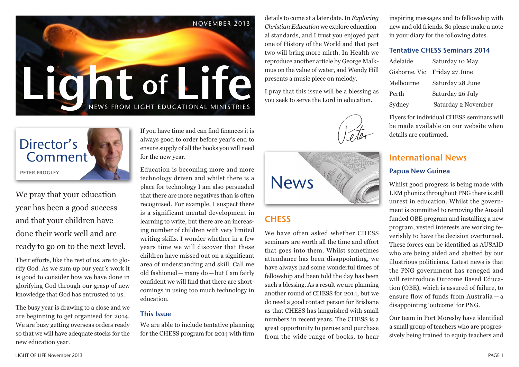



We pray that your education year has been a good success and that your children have done their work well and are ready to go on to the next level.

Their efforts, like the rest of us, are to glorify God. As we sum up our year's work it is good to consider how we have done in glorifying God through our grasp of new knowledge that God has entrusted to us.

The busy year is drawing to a close and we are beginning to get organised for 2014. We are busy getting overseas orders ready so that we will have adequate stocks for the new education year.

If you have time and can find finances it is always good to order before year's end to ensure supply of all the books you will need for the new year.

Education is becoming more and more technology driven and whilst there is a place for technology I am also persuaded that there are more negatives than is often recognised. For example, I suspect there is a significant mental development in learning to write, but there are an increasing number of children with very limited writing skills. I wonder whether in a few years time we will discover that these children have missed out on a significant area of understanding and skill. Call me old fashioned—many do—but I am fairly confident we will find that there are shortcomings in using too much technology in education.

#### This Issue

We are able to include tentative planning for the CHESS program for 2014 with firm details to come at a later date. In *Exploring Christian Education* we explore educational standards, and I trust you enjoyed part one of History of the World and that part two will bring more mirth. In Health we reproduce another article by George Malkmus on the value of water, and Wendy Hill presents a music piece on melody.

I pray that this issue will be a blessing as you seek to serve the Lord in education.





## **CHESS**

We have often asked whether CHESS seminars are worth all the time and effort that goes into them. Whilst sometimes attendance has been disappointing, we have always had some wonderful times of fellowship and been told the day has been such a blessing. As a result we are planning another round of CHESS for 2014, but we do need a good contact person for Brisbane as that CHESS has languished with small numbers in recent years. The CHESS is a great opportunity to peruse and purchase from the wide range of books, to hear

inspiring messages and to fellowship with new and old friends. So please make a note in your diary for the following dates.

#### Tentative CHESS Seminars 2014

| Adelaide      | Saturday 10 May     |
|---------------|---------------------|
| Gisborne, Vic | Friday 27 June      |
| Melbourne     | Saturday 28 June    |
| Perth         | Saturday 26 July    |
| Sydney        | Saturday 2 November |

Flyers for individual CHESS seminars will be made available on our website when details are confirmed.

## International News Papua New Guinea

Whilst good progress is being made with LEM phonics throughout PNG there is still unrest in education. Whilst the government is committed to removing the Ausaid funded OBE program and installing a new program, vested interests are working feverishly to have the decision overturned. These forces can be identified as AUSAID who are being aided and abetted by our illustrious politicians. Latest news is that the PNG government has reneged and will reintroduce Outcome Based Education (OBE), which is assured of failure, to ensure flow of funds from Australia — a disappointing 'outcome' for PNG.

Our team in Port Moresby have identified a small group of teachers who are progressively being trained to equip teachers and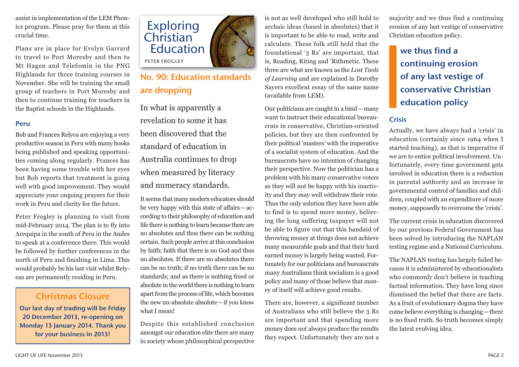assist in implementation of the LEM Phonics program. Please pray for them at this crucial time.

Plans are in place for Evelyn Garrard to travel to Port Moresby and then to Mt Hagen and Telefomin in the PNG Highlands for three training courses in November. She will be training the small group of teachers in Port Moresby and then to continue training for teachers in the Baptist schools in the Highlands.

#### Peru

Bob and Frances Relyea are enjoying a very productive season in Peru with many books being published and speaking opportunities coming along regularly. Frances has been having some trouble with her eyes but Bob reports that treatment is going well with good improvement. They would appreciate your ongoing prayers for their work in Peru and clarity for the future.

Peter Frogley is planning to visit from mid-February 2014. The plan is to fly into Arequipa in the south of Peru in the Andes to speak at a conference there. This would be followed by further conferences in the north of Peru and finishing in Lima. This would probably be his last visit whilst Relyeas are permanently residing in Peru.

## Christmas Closure

Our last day of trading will be Friday 20 December 2013, re-opening on Monday 13 January 2014. Thank you for your business in 2013!



## No. 90: Education standards are dropping

In what is apparently a revelation to some it has been discovered that the standard of education in Australia continues to drop when measured by literacy and numeracy standards.

It seems that many modern educators should be very happy with this state of affairs—according to their philosophy of education and life there is nothing to learn because there are no absolutes and thus there can be nothing certain. Such people arrive at this conclusion by faith; faith that there is no God and thus no absolutes. If there are no absolutes there can be no truth; if no truth there can be no standards; and as there is nothing fixed or absolute in the world there is nothing to learn apart from the process of life, which becomes the new un-absolute absolute—if you know what I mean!

Despite this established conclusion amongst our education elite there are many in society whose philosophical perspective

is not as well developed who still hold to archaic ideas (based in absolutes) that it is important to be able to read, write and calculate. These folk still hold that the foundational '3 Rs' are important, that is, Reading, Riting and 'Rithmetic. These three are what are known as the *Lost Tools of Learning* and are explained in Dorothy Sayers excellent essay of the same name (available from LEM).

Our politicians are caught in a bind—many want to instruct their educational bureaucrats in conservative, Christian-oriented policies, but they are then confronted by their political 'masters' with the imperative of a socialist system of education. And the bureaucrats have no intention of changing their perspective. Now the politician has a problem with his many conservative voters as they will not be happy with his inactivity and they may well withdraw their vote. Thus the only solution they have been able to find is to spend more money, believing the long suffering taxpayer will not be able to figure out that this bandaid of throwing money at things does not achieve many measurable goals and that their hard earned money is largely being wasted. Fortunately for our politicians and bureaucrats many Australians think socialism is a good policy and many of those believe that money of itself will achieve good results.

There are, however, a significant number of Australians who still believe the 3 Rs are important and that spending more money does *not* always produce the results they expect. Unfortunately they are not a

majority and we thus find a continuing erosion of any last vestige of conservative Christian education policy.

we thus find a continuing erosion of any last vestige of conservative Christian education policy

#### Crisis

Actually, we have always had a 'crisis' in education (certainly since 1964 when I started teaching), as that is imperative if we are to entice political involvement. Unfortunately, every time government gets involved in education there is a reduction in parental authority and an increase in governmental control of families and children, coupled with an expenditure of more money, supposedly to overcome the 'crisis'.

The current crisis in education discovered by our previous Federal Government has been solved by introducing the NAPLAN testing regime and a National Curriculum.

The NAPLAN testing has largely failed because it is administered by educationalists who commonly don't believe in teaching factual information. They have long since dismissed the belief that there are facts. As a fruit of evolutionary dogma they have come believe everything is changing—there is no fixed truth. So truth becomes simply the latest evolving idea.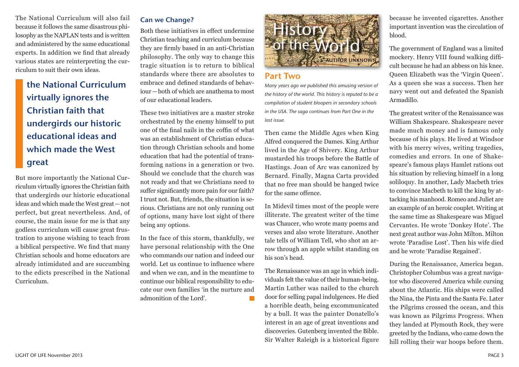#### The National Curriculum will also fail because it follows the same disastrous philosophy as the NAPLAN tests and is written and administered by the same educational experts. In addition we find that already various states are reinterpreting the curriculum to suit their own ideas.

# the National Curriculum virtually ignores the Christian faith that undergirds our historic educational ideas and which made the West great

But more importantly the National Curriculum virtually ignores the Christian faith that undergirds our historic educational ideas and which made the West great—not perfect, but great nevertheless. And, of course, the main issue for me is that any godless curriculum will cause great frustration to anyone wishing to teach from a biblical perspective. We find that many Christian schools and home educators are already intimidated and are succumbing to the edicts prescribed in the National Curriculum.

## Can we Change?

Both these initiatives in effect undermine Christian teaching and curriculum because they are firmly based in an anti-Christian philosophy. The only way to change this tragic situation is to return to biblical standards where there are absolutes to embrace and defined standards of behaviour—both of which are anathema to most of our educational leaders.

These two initiatives are a master stroke orchestrated by the enemy himself to put one of the final nails in the coffin of what was an establishment of Christian education through Christian schools and home education that had the potential of transforming nations in a generation or two. Should we conclude that the church was not ready and that we Christians need to suffer significantly more pain for our faith? I trust not. But, friends, the situation is serious. Christians are not only running out of options, many have lost sight of there being any options.

In the face of this storm, thankfully, we have personal relationship with the One who commands our nation and indeed our world. Let us continue to influence where and when we can, and in the meantime to continue our biblical responsibility to educate our own families 'in the nurture and admonition of the Lord'.  $\mathbb{R}^n$ 



#### Part Two

*Many years ago we published this amusing version of the history of the world. This history is reputed to be a compilation of student bloopers in secondary schools in the USA. The saga continues from Part One in the last issue.*

Then came the Middle Ages when King Alfred conquered the Dames. King Arthur lived in the Age of Shivery. King Arthur mustarded his troops before the Battle of Hastings. Joan of Arc was canonized by Bernard. Finally, Magna Carta provided that no free man should be hanged twice for the same offence.

In Midevil times most of the people were illiterate. The greatest writer of the time was Chaucer, who wrote many poems and verses and also wrote literature. Another tale tells of William Tell, who shot an arrow through an apple whilst standing on his son's head.

The Renaissance was an age in which individuals felt the value of their human-being. Martin Luther was nailed to the church door for selling papal indulgences. He died a horrible death, being excommunicated by a bull. It was the painter Donatello's interest in an age of great inventions and discoveries. Gutenberg invented the Bible. Sir Walter Raleigh is a historical figure because he invented cigarettes. Another important invention was the circulation of blood.

The government of England was a limited mockery. Henry VIII found walking difficult because he had an abbess on his knee. Queen Elizabeth was the 'Virgin Queen'. As a queen she was a success. Then her navy went out and defeated the Spanish Armadillo.

The greatest writer of the Renaissance was William Shakespeare. Shakespeare never made much money and is famous only because of his plays. He lived at Windsor with his merry wives, writing tragedies, comedies and errors. In one of Shakespeare's famous plays Hamlet rations out his situation by relieving himself in a long soliloquy. In another, Lady Macbeth tries to convince Macbeth to kill the king by attacking his manhood. Romeo and Juliet are an example of an heroic couplet. Writing at the same time as Shakespeare was Miguel Cervantes. He wrote 'Donkey Hote'. The next great author was John Milton. Milton wrote 'Paradise Lost'. Then his wife died and he wrote 'Paradise Regained'.

During the Renaissance, America began. Christopher Columbus was a great navigator who discovered America while cursing about the Atlantic. His ships were called the Nina, the Pinta and the Santa Fe. Later the Pilgrims crossed the ocean, and this was known as Pilgrims Progress. When they landed at Plymouth Rock, they were greeted by the Indians, who came down the hill rolling their war hoops before them.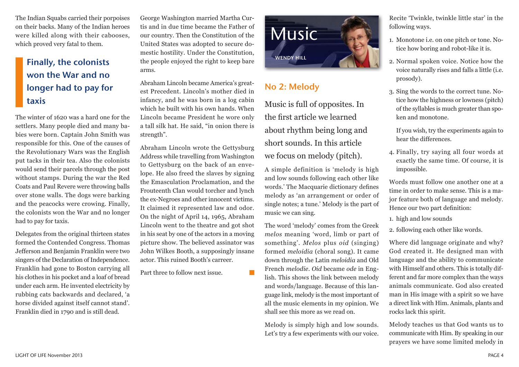The Indian Squabs carried their porpoises on their backs. Many of the Indian heroes were killed along with their cabooses, which proved very fatal to them.

## Finally, the colonists won the War and no longer had to pay for taxis

The winter of 1620 was a hard one for the settlers. Many people died and many babies were born. Captain John Smith was responsible for this. One of the causes of the Revolutionary Wars was the English put tacks in their tea. Also the colonists would send their parcels through the post without stamps. During the war the Red Coats and Paul Revere were throwing balls over stone walls. The dogs were barking and the peacocks were crowing. Finally, the colonists won the War and no longer had to pay for taxis.

Delegates from the original thirteen states formed the Contended Congress. Thomas Jefferson and Benjamin Franklin were two singers of the Declaration of Independence. Franklin had gone to Boston carrying all his clothes in his pocket and a loaf of bread under each arm. He invented electricity by rubbing cats backwards and declared, 'a horse divided against itself cannot stand'. Franklin died in 1790 and is still dead.

George Washington married Martha Curtis and in due time became the Father of our country. Then the Constitution of the United States was adopted to secure domestic hostility. Under the Constitution, the people enjoyed the right to keep bare arms.

Abraham Lincoln became America's greatest Precedent. Lincoln's mother died in infancy, and he was born in a log cabin which he built with his own hands. When Lincoln became President he wore only a tall silk hat. He said, "in onion there is strength".

Abraham Lincoln wrote the Gettysburg Address while travelling from Washington to Gettysburg on the back of an envelope. He also freed the slaves by signing the Emasculation Proclamation, and the Frouteenth Clan would torcher and lynch the ex-Negroes and other innocent victims. It claimed it represented law and odor. On the night of April 14, 1965, Abraham Lincoln went to the theatre and got shot in his seat by one of the actors in a moving picture show. The believed assinator was John Wilkes Booth, a supposingly insane actor. This ruined Booth's carreer.

**I** 

Part three to follow next issue.



## No 2: Melody

Music is full of opposites. In the first article we learned about rhythm being long and short sounds. In this article we focus on melody (pitch).

A simple definition is 'melody is high and low sounds following each other like words.' The Macquarie dictionary defines melody as 'an arrangement or order of single notes; a tune.' Melody is the part of music we can sing.

The word 'melody' comes from the Greek *melos* meaning 'word, limb or part of something'. *Melos* plus *oid* (singing) formed *meloidia* (choral song). It came down through the Latin *meloidia* and Old French *melodie*. *Oid* became *ode* in English. This shows the link between melody and words/language. Because of this language link, melody is the most important of all the music elements in my opinion. We shall see this more as we read on.

Melody is simply high and low sounds. Let's try a few experiments with our voice. Recite 'Twinkle, twinkle little star' in the following ways.

- 1. Monotone i.e. on one pitch or tone. Notice how boring and robot-like it is.
- 2. Normal spoken voice. Notice how the voice naturally rises and falls a little (i.e. prosody).
- 3. Sing the words to the correct tune. Notice how the highness or lowness (pitch) of the syllables is much greater than spoken and monotone.

If you wish, try the experiments again to hear the differences.

4. Finally, try saying all four words at exactly the same time. Of course, it is impossible.

Words must follow one another one at a time in order to make sense. This is a major feature both of language and melody. Hence our two part definition:

- 1. high and low sounds
- 2. following each other like words.

Where did language originate and why? God created it. He designed man with language and the ability to communicate with Himself and others. This is totally different and far more complex than the ways animals communicate. God also created man in His image with a spirit so we have a direct link with Him. Animals, plants and rocks lack this spirit.

Melody teaches us that God wants us to communicate with Him. By speaking in our prayers we have some limited melody in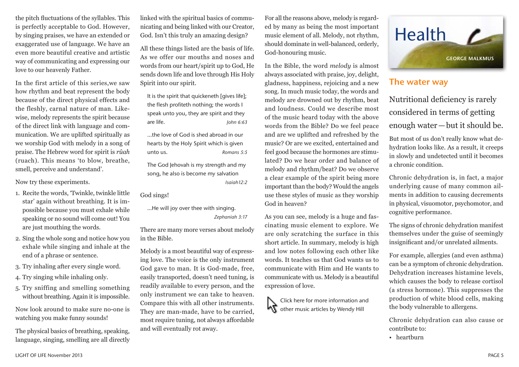the pitch fluctuations of the syllables. This is perfectly acceptable to God. However, by singing praises, we have an extended or exaggerated use of language. We have an even more beautiful creative and artistic way of communicating and expressing our love to our heavenly Father.

In the first article of this series,we saw how rhythm and beat represent the body because of the direct physical effects and the fleshly, carnal nature of man. Likewise, melody represents the spirit because of the direct link with language and communication. We are uplifted spiritually as we worship God with melody in a song of praise. The Hebrew word for spirit is *rûah* (ruach). This means 'to blow, breathe, smell, perceive and understand'.

Now try these experiments.

- 1. Recite the words, 'Twinkle, twinkle little star' again without breathing. It is impossible because you must exhale while speaking or no sound will come out! You are just mouthing the words.
- 2. Sing the whole song and notice how you exhale while singing and inhale at the end of a phrase or sentence.
- 3. Try inhaling after every single word.
- 4. Try singing while inhaling only.
- 5. Try sniffing and smelling something without breathing. Again it is impossible.

Now look around to make sure no-one is watching you make funny sounds!

The physical basics of breathing, speaking, language, singing, smelling are all directly linked with the spiritual basics of communicating and being linked with our Creator, God. Isn't this truly an amazing design?

All these things listed are the basis of life. As we offer our mouths and noses and words from our heart/spirit up to God, He sends down life and love through His Holy Spirit into our spirit.

It is the spirit that quickeneth [gives life]; the flesh profiteth nothing; the words I speak unto you, they are spirit and they are life. *John 6:63* 

…the love of God is shed abroad in our hearts by the Holy Spirit which is given unto us. *Romans 5:5*

The God Jehovah is my strength and my song, he also is become my salvation

*Isaiah12:2* 

God sings!

…He will joy over thee with singing. *Zephaniah 3:17* 

There are many more verses about melody in the Bible.

Melody is a most beautiful way of expressing love. The voice is the only instrument God gave to man. It is God-made, free, easily transported, doesn't need tuning, is readily available to every person, and the only instrument we can take to heaven. Compare this with all other instruments. They are man-made, have to be carried, most require tuning, not always affordable and will eventually rot away.

For all the reasons above, melody is regarded by many as being the most important music element of all. Melody, not rhythm, should dominate in well-balanced, orderly, God-honouring music.

In the Bible, the word *melody* is almost always associated with praise, joy, delight, gladness, happiness, rejoicing and a new song. In much music today, the words and melody are drowned out by rhythm, beat and loudness. Could we describe most of the music heard today with the above words from the Bible? Do we feel peace and are we uplifted and refreshed by the music? Or are we excited, entertained and feel good because the hormones are stimulated? Do we hear order and balance of melody and rhythm/beat? Do we observe a clear example of the spirit being more important than the body? Would the angels use these styles of music as they worship God in heaven?

As you can see, melody is a huge and fascinating music element to explore. We are only scratching the surface in this short article. In summary, melody is high and low notes following each other like words. It teaches us that God wants us to communicate with Him and He wants to communicate with us. Melody is a beautiful expression of love.

Click here for more information and **K** other music articles by Wendy Hill



## The water way

Nutritional deficiency is rarely considered in terms of getting enough water—but it should be.

But most of us don't really know what dehydration looks like. As a result, it creeps in slowly and undetected until it becomes a chronic condition.

Chronic dehydration is, in fact, a major underlying cause of many common ailments in addition to causing decrements in physical, visuomotor, psychomotor, and cognitive performance.

The signs of chronic dehydration manifest themselves under the guise of seemingly insignificant and/or unrelated ailments.

For example, allergies (and even asthma) can be a symptom of chronic dehydration. Dehydration increases histamine levels, which causes the body to release cortisol (a stress hormone). This suppresses the production of white blood cells, making the body vulnerable to allergens.

Chronic dehydration can also cause or contribute to:

• heartburn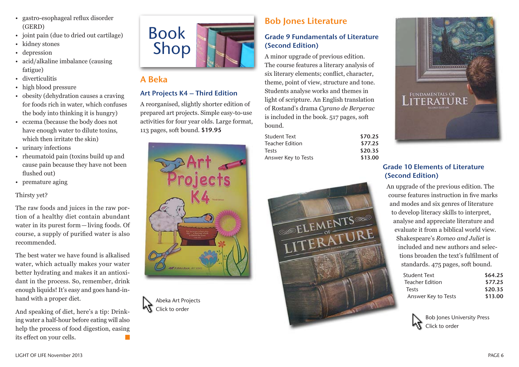- gastro-esophageal reflux disorder (GERD)
- joint pain (due to dried out cartilage)
- kidney stones
- depression
- acid/alkaline imbalance (causing fatigue)
- diverticulitis
- high blood pressure
- obesity (dehydration causes a craving for foods rich in water, which confuses the body into thinking it is hungry)
- eczema (because the body does not have enough water to dilute toxins, which then irritate the skin)
- urinary infections
- rheumatoid pain (toxins build up and cause pain because they have not been flushed out)
- premature aging

#### Thirsty yet?

The raw foods and juices in the raw portion of a healthy diet contain abundant water in its purest form—living foods. Of course, a supply of purified water is also recommended.

The best water we have found is alkalised water, which actually makes your water better hydrating and makes it an antioxidant in the process. So, remember, drink enough liquids! It's easy and goes hand-inhand with a proper diet.

And speaking of diet, here's a tip: Drinking water a half-hour before eating will also help the process of food digestion, easing its effect on your cells.



## A Beka

### Art Projects K4 – Third Edition

A reorganised, slightly shorter edition of prepared art projects. Simple easy-to-use activities for four year olds. Large format, 113 pages, soft bound. \$19.95





## Bob Jones Literature

### Grade 9 Fundamentals of Literature (Second Edition)

A minor upgrade of previous edition. The course features a literary analysis of six literary elements; conflict, character, theme, point of view, structure and tone. Students analyse works and themes in light of scripture. An English translation of Rostand's drama *Cyrano de Bergerac* is included in the book. 517 pages, soft bound.

| Student Text        | \$70.25 |
|---------------------|---------|
| Teacher Edition     | \$77.25 |
| Tests               | \$20.35 |
| Answer Key to Tests | \$13.00 |
|                     |         |





### Grade 10 Elements of Literature (Second Edition)

An upgrade of the previous edition. The course features instruction in five marks and modes and six genres of literature to develop literacy skills to interpret, analyse and appreciate literature and evaluate it from a biblical world view. Shakespeare's *Romeo and Juliet* is included and new authors and selections broaden the text's fulfilment of standards. 475 pages, soft bound.

| <b>Student Text</b> | \$64.25 |
|---------------------|---------|
| Teacher Edition     | \$77.25 |
| Tests               | \$20.35 |
| Answer Key to Tests | \$13.00 |
|                     |         |

Bob Jones University Press Click to order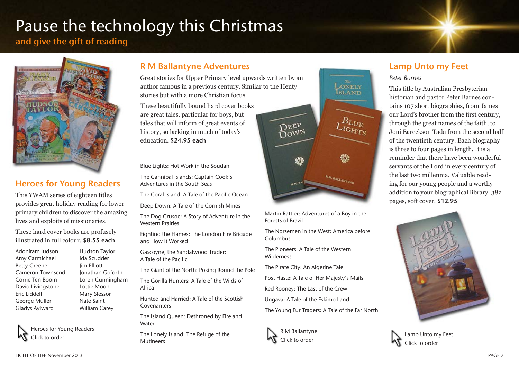# Pause the technology this Christmas

## and give the gift of reading



## Heroes for Young Readers

This YWAM series of eighteen titles provides great holiday reading for lower primary children to discover the amazing lives and exploits of missionaries.

These hard cover books are profusely illustrated in full colour. \$8.55 each

Adoniram Judson Hudson Taylor Amy Carmichael Ida Scudder Betty Greene Jim Elliott Cameron Townsend Jonathan Goforth Corrie Ten Boom Loren Cunningham David Livingstone Lottie Moon Eric Liddell Mary Slessor George Muller Nate Saint Gladys Aylward William Carey

Heroes for Young Readers Click to order

## R M Ballantyne Adventures

Great stories for Upper Primary level upwards written by an author famous in a previous century. Similar to the Henty stories but with a more Christian focus.

These beautifully bound hard cover books are great tales, particular for boys, but tales that will inform of great events of history, so lacking in much of today's education. \$24.95 each

Blue Lights: Hot Work in the Soudan

The Cannibal Islands: Captain Cook's Adventures in the South Seas

The Coral Island: A Tale of the Pacific Ocean

Deep Down: A Tale of the Cornish Mines

The Dog Crusoe: A Story of Adventure in the Western Prairies

Fighting the Flames: The London Fire Brigade and How It Worked

Gascoyne, the Sandalwood Trader: A Tale of the Pacific

The Giant of the North: Poking Round the Pole

The Gorilla Hunters: A Tale of the Wilds of Africa

Hunted and Harried: A Tale of the Scottish Covenanters

The Island Queen: Dethroned by Fire and Water

The Lonely Island: The Refuge of the Mutineers



Martin Rattler: Adventures of a Boy in the Forests of Brazil

The Norsemen in the West: America before Columbus

The Pioneers: A Tale of the Western Wilderness

The Pirate City: An Algerine Tale

Post Haste: A Tale of Her Majesty's Mails

Red Rooney: The Last of the Crew

Ungava: A Tale of the Eskimo Land

The Young Fur Traders: A Tale of the Far North



## Lamp Unto my Feet

#### *Peter Barnes*

This title by Australian Presbyterian historian and pastor Peter Barnes contains 107 short biographies, from James our Lord's brother from the first century, through the great names of the faith, to Joni Eareckson Tada from the second half of the twentieth century. Each biography is three to four pages in length. It is a reminder that there have been wonderful servants of the Lord in every century of the last two millennia. Valuable reading for our young people and a worthy addition to your biographical library. 382 pages, soft cover. \$12.95



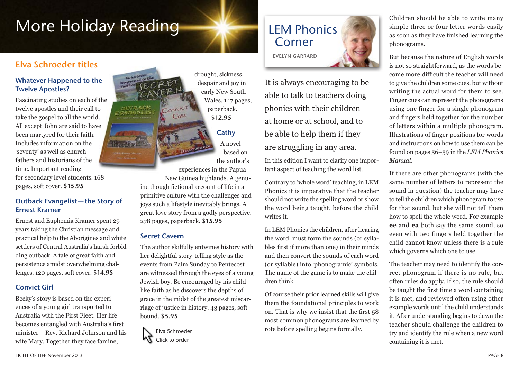# More Holiday Reading

## Elva Schroeder titles

#### Whatever Happened to the Twelve Apostles?

Fascinating studies on each of the twelve apostles and their call to take the gospel to all the world. All except John are said to have been martyred for their faith. Includes information on the 'seventy' as well as church fathers and historians of the time. Important reading for secondary level students. 168 pages, soft cover. \$15.95

#### Outback Evangelist—the Story of Ernest Kramer

Ernest and Euphemia Kramer spent 29 years taking the Christian message and practical help to the Aborigines and white settlers of Central Australia's harsh forbidding outback. A tale of great faith and persistence amidst overwhelming challenges. 120 pages, soft cover. \$14.95

#### Convict Girl

Becky's story is based on the experiences of a young girl transported to Australia with the First Fleet. Her life becomes entangled with Australia's first minister—Rev. Richard Johnson and his wife Mary. Together they face famine,



drought, sickness, despair and joy in early New South Wales. 147 pages, paperback. \$12.95

## **Cathy**

A novel based on the author's

experiences in the Papua New Guinea highlands. A genuine though fictional account of life in a primitive culture with the challenges and joys such a lifestyle inevitably brings. A great love story from a godly perspective. 278 pages, paperback. \$15.95

#### Secret Cavern

The author skilfully entwines history with her delightful story-telling style as the events from Palm Sunday to Pentecost are witnessed through the eyes of a young Jewish boy. Be encouraged by his childlike faith as he discovers the depths of grace in the midst of the greatest miscarriage of justice in history. 43 pages, soft bound. \$5.95



# LEM Phonics Corner

Evelyn Garrard

It is always encouraging to be able to talk to teachers doing phonics with their children at home or at school, and to be able to help them if they are struggling in any area.

In this edition I want to clarify one important aspect of teaching the word list.

Contrary to 'whole word' teaching, in LEM Phonics it is imperative that the teacher should not write the spelling word or show the word being taught, before the child writes it.

In LEM Phonics the children, after hearing the word, must form the sounds (or syllables first if more than one) in their minds and then convert the sounds of each word (or syllable) into 'phonogramic' symbols. The name of the game is to make the children think.

Of course their prior learned skills will give them the foundational principles to work on. That is why we insist that the first 58 most common phonograms are learned by rote before spelling begins formally.

Children should be able to write many simple three or four letter words easily as soon as they have finished learning the phonograms.

But because the nature of English words is not so straightforward, as the words become more difficult the teacher will need to give the children some cues, but without writing the actual word for them to see. Finger cues can represent the phonograms using one finger for a single phonogram and fingers held together for the number of letters within a multiple phonogram. Illustrations of finger positions for words and instructions on how to use them can be found on pages 56–59 in the *LEM Phonics Manual*.

If there are other phonograms (with the same number of letters to represent the sound in question) the teacher may have to tell the children which phonogram to use for that sound, but she will not tell them how to spell the whole word. For example **ee** and **ea** both say the same sound, so even with two fingers held together the child cannot know unless there is a rule which governs which one to use.

The teacher may need to identify the correct phonogram if there is no rule, but often rules do apply. If so, the rule should be taught the first time a word containing it is met, and reviewed often using other example words until the child understands it. After understanding begins to dawn the teacher should challenge the children to try and identify the rule when a new word containing it is met.